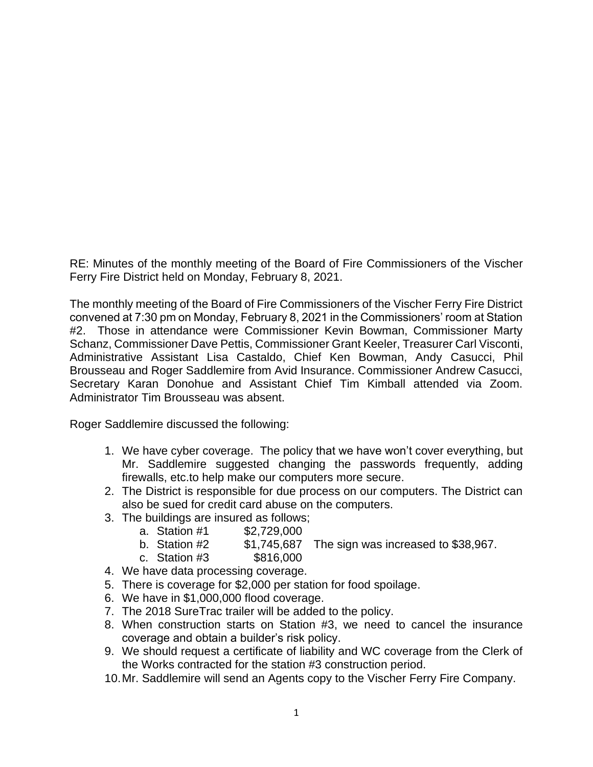RE: Minutes of the monthly meeting of the Board of Fire Commissioners of the Vischer Ferry Fire District held on Monday, February 8, 2021.

The monthly meeting of the Board of Fire Commissioners of the Vischer Ferry Fire District convened at 7:30 pm on Monday, February 8, 2021 in the Commissioners' room at Station #2. Those in attendance were Commissioner Kevin Bowman, Commissioner Marty Schanz, Commissioner Dave Pettis, Commissioner Grant Keeler, Treasurer Carl Visconti, Administrative Assistant Lisa Castaldo, Chief Ken Bowman, Andy Casucci, Phil Brousseau and Roger Saddlemire from Avid Insurance. Commissioner Andrew Casucci, Secretary Karan Donohue and Assistant Chief Tim Kimball attended via Zoom. Administrator Tim Brousseau was absent.

Roger Saddlemire discussed the following:

- 1. We have cyber coverage. The policy that we have won't cover everything, but Mr. Saddlemire suggested changing the passwords frequently, adding firewalls, etc.to help make our computers more secure.
- 2. The District is responsible for due process on our computers. The District can also be sued for credit card abuse on the computers.
- 3. The buildings are insured as follows;
	- a. Station #1 \$2,729,000
	- b. Station  $#2$  \$1,745,687 The sign was increased to \$38,967.
- c. Station #3 \$816,000
- 4. We have data processing coverage.
- 5. There is coverage for \$2,000 per station for food spoilage.
- 6. We have in \$1,000,000 flood coverage.
- 7. The 2018 SureTrac trailer will be added to the policy.
- 8. When construction starts on Station #3, we need to cancel the insurance coverage and obtain a builder's risk policy.
- 9. We should request a certificate of liability and WC coverage from the Clerk of the Works contracted for the station #3 construction period.
- 10.Mr. Saddlemire will send an Agents copy to the Vischer Ferry Fire Company.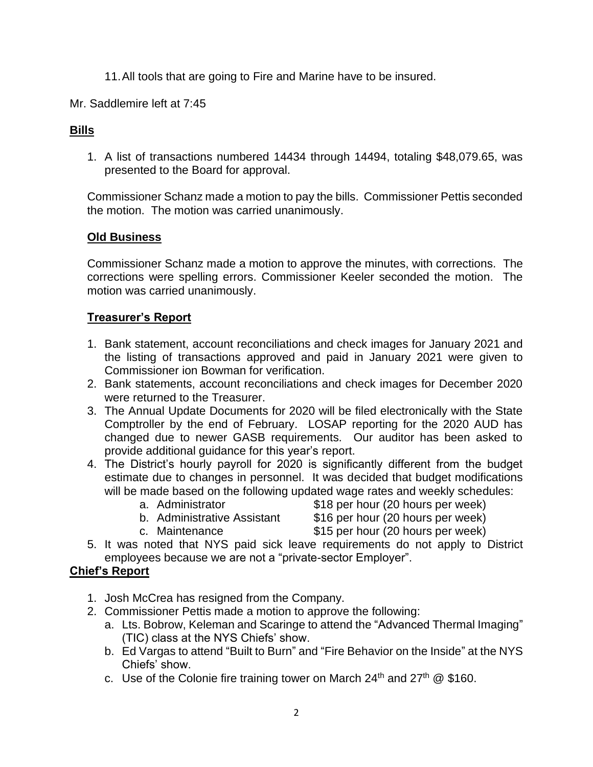- 11.All tools that are going to Fire and Marine have to be insured.
- Mr. Saddlemire left at 7:45

# **Bills**

1. A list of transactions numbered 14434 through 14494, totaling \$48,079.65, was presented to the Board for approval.

Commissioner Schanz made a motion to pay the bills. Commissioner Pettis seconded the motion. The motion was carried unanimously.

## **Old Business**

Commissioner Schanz made a motion to approve the minutes, with corrections. The corrections were spelling errors. Commissioner Keeler seconded the motion. The motion was carried unanimously.

#### **Treasurer's Report**

- 1. Bank statement, account reconciliations and check images for January 2021 and the listing of transactions approved and paid in January 2021 were given to Commissioner ion Bowman for verification.
- 2. Bank statements, account reconciliations and check images for December 2020 were returned to the Treasurer.
- 3. The Annual Update Documents for 2020 will be filed electronically with the State Comptroller by the end of February. LOSAP reporting for the 2020 AUD has changed due to newer GASB requirements. Our auditor has been asked to provide additional guidance for this year's report.
- 4. The District's hourly payroll for 2020 is significantly different from the budget estimate due to changes in personnel. It was decided that budget modifications will be made based on the following updated wage rates and weekly schedules:
	-
	- a. Administrator **\$18** per hour (20 hours per week)
	- b. Administrative Assistant \$16 per hour (20 hours per week)
	- c. Maintenance \$15 per hour (20 hours per week)
- 5. It was noted that NYS paid sick leave requirements do not apply to District employees because we are not a "private-sector Employer".

## **Chief's Report**

- 1. Josh McCrea has resigned from the Company.
- 2. Commissioner Pettis made a motion to approve the following:
	- a. Lts. Bobrow, Keleman and Scaringe to attend the "Advanced Thermal Imaging" (TIC) class at the NYS Chiefs' show.
	- b. Ed Vargas to attend "Built to Burn" and "Fire Behavior on the Inside" at the NYS Chiefs' show.
	- c. Use of the Colonie fire training tower on March  $24<sup>th</sup>$  and  $27<sup>th</sup>$  @ \$160.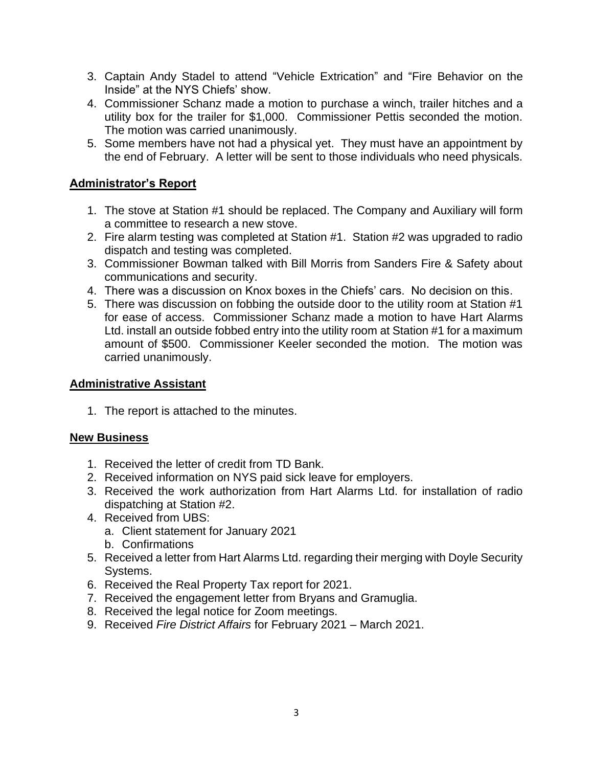- 3. Captain Andy Stadel to attend "Vehicle Extrication" and "Fire Behavior on the Inside" at the NYS Chiefs' show.
- 4. Commissioner Schanz made a motion to purchase a winch, trailer hitches and a utility box for the trailer for \$1,000. Commissioner Pettis seconded the motion. The motion was carried unanimously.
- 5. Some members have not had a physical yet. They must have an appointment by the end of February. A letter will be sent to those individuals who need physicals.

# **Administrator's Report**

- 1. The stove at Station #1 should be replaced. The Company and Auxiliary will form a committee to research a new stove.
- 2. Fire alarm testing was completed at Station #1. Station #2 was upgraded to radio dispatch and testing was completed.
- 3. Commissioner Bowman talked with Bill Morris from Sanders Fire & Safety about communications and security.
- 4. There was a discussion on Knox boxes in the Chiefs' cars. No decision on this.
- 5. There was discussion on fobbing the outside door to the utility room at Station #1 for ease of access. Commissioner Schanz made a motion to have Hart Alarms Ltd. install an outside fobbed entry into the utility room at Station #1 for a maximum amount of \$500. Commissioner Keeler seconded the motion. The motion was carried unanimously.

## **Administrative Assistant**

1. The report is attached to the minutes.

#### **New Business**

- 1. Received the letter of credit from TD Bank.
- 2. Received information on NYS paid sick leave for employers.
- 3. Received the work authorization from Hart Alarms Ltd. for installation of radio dispatching at Station #2.
- 4. Received from UBS:
	- a. Client statement for January 2021
	- b. Confirmations
- 5. Received a letter from Hart Alarms Ltd. regarding their merging with Doyle Security Systems.
- 6. Received the Real Property Tax report for 2021.
- 7. Received the engagement letter from Bryans and Gramuglia.
- 8. Received the legal notice for Zoom meetings.
- 9. Received *Fire District Affairs* for February 2021 March 2021.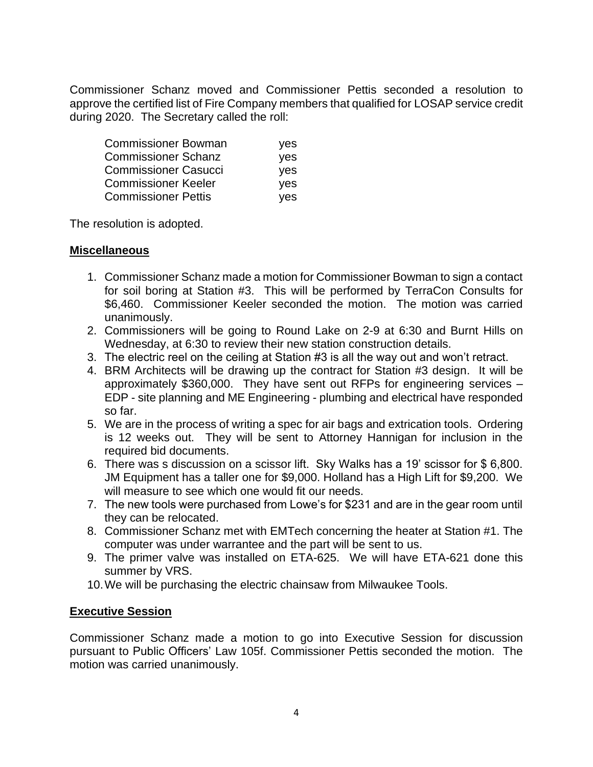Commissioner Schanz moved and Commissioner Pettis seconded a resolution to approve the certified list of Fire Company members that qualified for LOSAP service credit during 2020. The Secretary called the roll:

| Commissioner Bowman         | yes |
|-----------------------------|-----|
| <b>Commissioner Schanz</b>  | yes |
| <b>Commissioner Casucci</b> | ves |
| <b>Commissioner Keeler</b>  | ves |
| <b>Commissioner Pettis</b>  | yes |

The resolution is adopted.

#### **Miscellaneous**

- 1. Commissioner Schanz made a motion for Commissioner Bowman to sign a contact for soil boring at Station #3. This will be performed by TerraCon Consults for \$6,460. Commissioner Keeler seconded the motion. The motion was carried unanimously.
- 2. Commissioners will be going to Round Lake on 2-9 at 6:30 and Burnt Hills on Wednesday, at 6:30 to review their new station construction details.
- 3. The electric reel on the ceiling at Station #3 is all the way out and won't retract.
- 4. BRM Architects will be drawing up the contract for Station #3 design. It will be approximately \$360,000. They have sent out RFPs for engineering services – EDP - site planning and ME Engineering - plumbing and electrical have responded so far.
- 5. We are in the process of writing a spec for air bags and extrication tools. Ordering is 12 weeks out. They will be sent to Attorney Hannigan for inclusion in the required bid documents.
- 6. There was s discussion on a scissor lift. Sky Walks has a 19' scissor for \$ 6,800. JM Equipment has a taller one for \$9,000. Holland has a High Lift for \$9,200. We will measure to see which one would fit our needs.
- 7. The new tools were purchased from Lowe's for \$231 and are in the gear room until they can be relocated.
- 8. Commissioner Schanz met with EMTech concerning the heater at Station #1. The computer was under warrantee and the part will be sent to us.
- 9. The primer valve was installed on ETA-625. We will have ETA-621 done this summer by VRS.
- 10.We will be purchasing the electric chainsaw from Milwaukee Tools.

## **Executive Session**

Commissioner Schanz made a motion to go into Executive Session for discussion pursuant to Public Officers' Law 105f. Commissioner Pettis seconded the motion. The motion was carried unanimously.